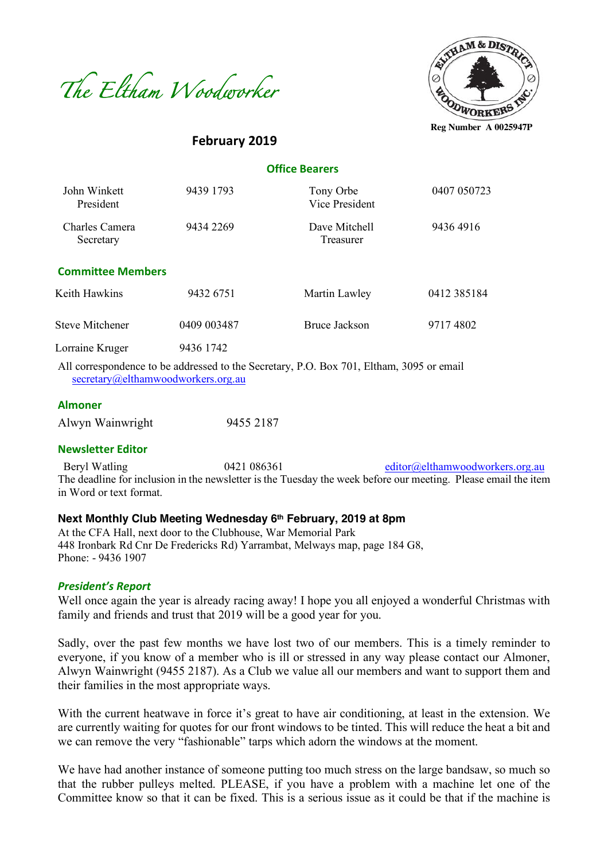



**February 2019**

## **Office Bearers**

| John Winkett<br>President   | 9439 1793   | Tony Orbe<br>Vice President | 0407 050723 |
|-----------------------------|-------------|-----------------------------|-------------|
| Charles Camera<br>Secretary | 9434 2269   | Dave Mitchell<br>Treasurer  | 94364916    |
| <b>Committee Members</b>    |             |                             |             |
| Keith Hawkins               | 9432 6751   | Martin Lawley               | 0412 385184 |
| Steve Mitchener             | 0409 003487 | Bruce Jackson               | 97174802    |
| Lorraine Kruger             | 9436 1742   |                             |             |

All correspondence to be addressed to the Secretary, P.O. Box 701, Eltham, 3095 or email secretary@elthamwoodworkers.org.au

#### **Almoner**

| Alwyn Wainwright | 9455 2187 |
|------------------|-----------|
|                  |           |

#### **Newsletter Editor**

Beryl Watling 0421 086361 editor@elthamwoodworkers.org.au The deadline for inclusion in the newsletter is the Tuesday the week before our meeting. Please email the item in Word or text format.

# **Next Monthly Club Meeting Wednesday 6th February, 2019 at 8pm**

At the CFA Hall, next door to the Clubhouse, War Memorial Park 448 Ironbark Rd Cnr De Fredericks Rd) Yarrambat, Melways map, page 184 G8, Phone: - 9436 1907

#### *President's Report*

Well once again the year is already racing away! I hope you all enjoyed a wonderful Christmas with family and friends and trust that 2019 will be a good year for you.

Sadly, over the past few months we have lost two of our members. This is a timely reminder to everyone, if you know of a member who is ill or stressed in any way please contact our Almoner, Alwyn Wainwright (9455 2187). As a Club we value all our members and want to support them and their families in the most appropriate ways.

With the current heatwave in force it's great to have air conditioning, at least in the extension. We are currently waiting for quotes for our front windows to be tinted. This will reduce the heat a bit and we can remove the very "fashionable" tarps which adorn the windows at the moment.

We have had another instance of someone putting too much stress on the large bandsaw, so much so that the rubber pulleys melted. PLEASE, if you have a problem with a machine let one of the Committee know so that it can be fixed. This is a serious issue as it could be that if the machine is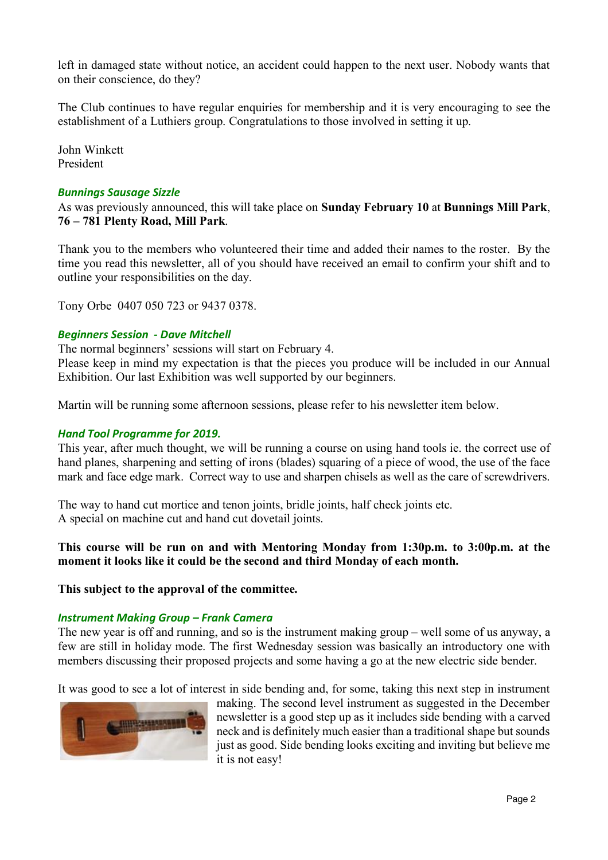left in damaged state without notice, an accident could happen to the next user. Nobody wants that on their conscience, do they?

The Club continues to have regular enquiries for membership and it is very encouraging to see the establishment of a Luthiers group. Congratulations to those involved in setting it up.

John Winkett President

### *Bunnings Sausage Sizzle*

As was previously announced, this will take place on **Sunday February 10** at **Bunnings Mill Park**, **76 – 781 Plenty Road, Mill Park**.

Thank you to the members who volunteered their time and added their names to the roster. By the time you read this newsletter, all of you should have received an email to confirm your shift and to outline your responsibilities on the day.

Tony Orbe 0407 050 723 or 9437 0378.

### *Beginners Session - Dave Mitchell*

The normal beginners' sessions will start on February 4.

Please keep in mind my expectation is that the pieces you produce will be included in our Annual Exhibition. Our last Exhibition was well supported by our beginners.

Martin will be running some afternoon sessions, please refer to his newsletter item below.

### *Hand Tool Programme for 2019.*

This year, after much thought, we will be running a course on using hand tools ie. the correct use of hand planes, sharpening and setting of irons (blades) squaring of a piece of wood, the use of the face mark and face edge mark. Correct way to use and sharpen chisels as well as the care of screwdrivers.

The way to hand cut mortice and tenon joints, bridle joints, half check joints etc. A special on machine cut and hand cut dovetail joints.

# **This course will be run on and with Mentoring Monday from 1:30p.m. to 3:00p.m. at the moment it looks like it could be the second and third Monday of each month.**

**This subject to the approval of the committee.** 

#### *Instrument Making Group – Frank Camera*

The new year is off and running, and so is the instrument making group – well some of us anyway, a few are still in holiday mode. The first Wednesday session was basically an introductory one with members discussing their proposed projects and some having a go at the new electric side bender.

It was good to see a lot of interest in side bending and, for some, taking this next step in instrument



making. The second level instrument as suggested in the December newsletter is a good step up as it includes side bending with a carved neck and is definitely much easier than a traditional shape but sounds just as good. Side bending looks exciting and inviting but believe me it is not easy!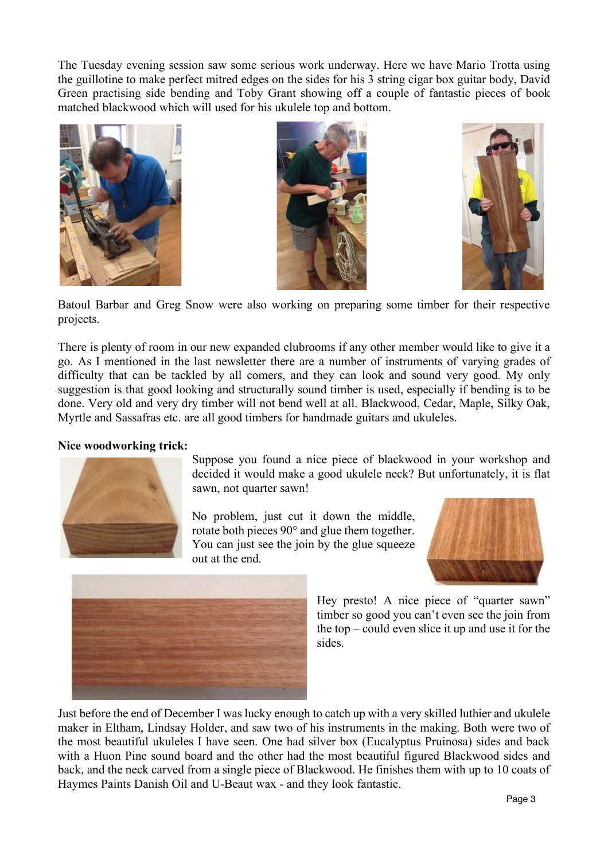The Tuesday evening session saw some serious work underway. Here we have Mario Trotta using the guillotine to make perfect mitred edges on the sides for his 3 string cigar box guitar body, David Green practising side bending and Toby Grant showing off a couple of fantastic pieces of book matched blackwood which will used for his ukulele top and bottom.







Batoul Barbar and Greg Snow were also working on preparing some timber for their respective projects.

There is plenty of room in our new expanded clubrooms if any other member would like to give it a go. As I mentioned in the last newsletter there are a number of instruments of varying grades of difficulty that can be tackled by all comers, and they can look and sound very good. My only suggestion is that good looking and structurally sound timber is used, especially if bending is to be done. Very old and very dry timber will not bend well at all. Blackwood, Cedar, Maple, Silky Oak, Myrtle and Sassafras etc. are all good timbers for handmade guitars and ukuleles.

## **Nice woodworking trick:**



Suppose you found a nice piece of blackwood in your workshop and decided it would make a good ukulele neck? But unfortunately, it is flat sawn, not quarter sawn!

No problem, just cut it down the middle, rotate both pieces 90° and glue them together. You can just see the join by the glue squeeze out at the end.





Just before the end of December I was lucky enough to catch up with a very skilled luthier and ukulele maker in Eltham, Lindsay Holder, and saw two of his instruments in the making. Both were two of the most beautiful ukuleles I have seen. One had silver box (Eucalyptus Pruinosa) sides and back with a Huon Pine sound board and the other had the most beautiful figured Blackwood sides and back, and the neck carved from a single piece of Blackwood. He finishes them with up to 10 coats of Haymes Paints Danish Oil and U-Beaut wax - and they look fantastic.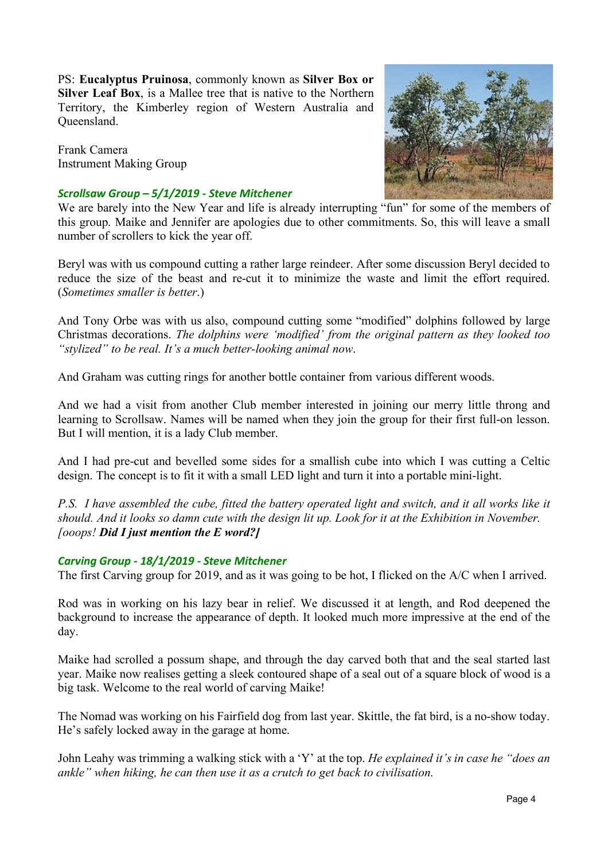PS: **Eucalyptus Pruinosa**, commonly known as **Silver Box or Silver Leaf Box**, is a Mallee tree that is native to the Northern Territory, the Kimberley region of Western Australia and Queensland.

Frank Camera Instrument Making Group

### *Scrollsaw Group – 5/1/2019 - Steve Mitchener*



We are barely into the New Year and life is already interrupting "fun" for some of the members of this group. Maike and Jennifer are apologies due to other commitments. So, this will leave a small number of scrollers to kick the year off.

Beryl was with us compound cutting a rather large reindeer. After some discussion Beryl decided to reduce the size of the beast and re-cut it to minimize the waste and limit the effort required. (*Sometimes smaller is better*.)

And Tony Orbe was with us also, compound cutting some "modified" dolphins followed by large Christmas decorations. *The dolphins were 'modified' from the original pattern as they looked too "stylized" to be real. It's a much better-looking animal now*.

And Graham was cutting rings for another bottle container from various different woods.

And we had a visit from another Club member interested in joining our merry little throng and learning to Scrollsaw. Names will be named when they join the group for their first full-on lesson. But I will mention, it is a lady Club member.

And I had pre-cut and bevelled some sides for a smallish cube into which I was cutting a Celtic design. The concept is to fit it with a small LED light and turn it into a portable mini-light.

*P.S. I have assembled the cube, fitted the battery operated light and switch, and it all works like it should. And it looks so damn cute with the design lit up. Look for it at the Exhibition in November. [ooops! Did I just mention the E word?]*

## *Carving Group - 18/1/2019 - Steve Mitchener*

The first Carving group for 2019, and as it was going to be hot, I flicked on the A/C when I arrived.

Rod was in working on his lazy bear in relief. We discussed it at length, and Rod deepened the background to increase the appearance of depth. It looked much more impressive at the end of the day.

Maike had scrolled a possum shape, and through the day carved both that and the seal started last year. Maike now realises getting a sleek contoured shape of a seal out of a square block of wood is a big task. Welcome to the real world of carving Maike!

The Nomad was working on his Fairfield dog from last year. Skittle, the fat bird, is a no-show today. He's safely locked away in the garage at home.

John Leahy was trimming a walking stick with a 'Y' at the top. *He explained it's in case he "does an ankle" when hiking, he can then use it as a crutch to get back to civilisation.*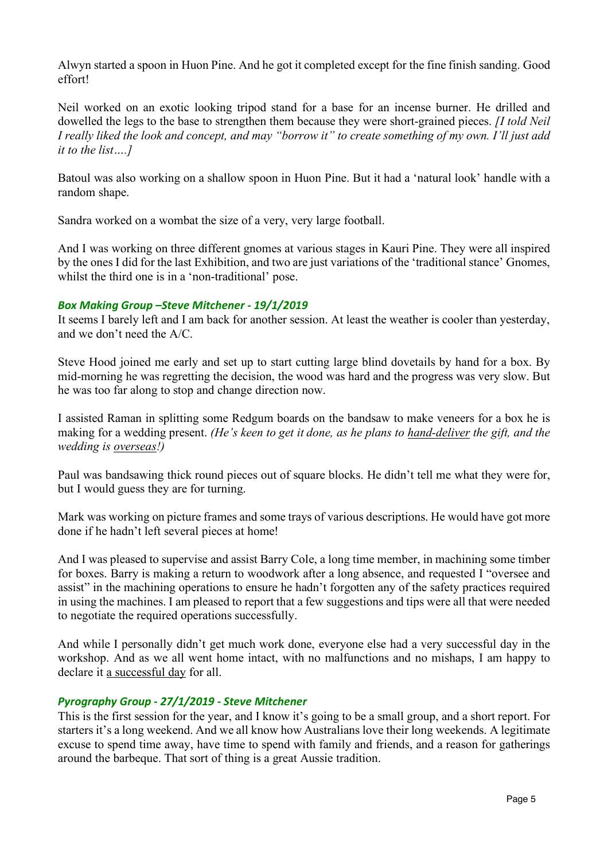Alwyn started a spoon in Huon Pine. And he got it completed except for the fine finish sanding. Good effort!

Neil worked on an exotic looking tripod stand for a base for an incense burner. He drilled and dowelled the legs to the base to strengthen them because they were short-grained pieces. *[I told Neil I really liked the look and concept, and may "borrow it" to create something of my own. I'll just add it to the list….]*

Batoul was also working on a shallow spoon in Huon Pine. But it had a 'natural look' handle with a random shape.

Sandra worked on a wombat the size of a very, very large football.

And I was working on three different gnomes at various stages in Kauri Pine. They were all inspired by the ones I did for the last Exhibition, and two are just variations of the 'traditional stance' Gnomes, whilst the third one is in a 'non-traditional' pose.

# *Box Making Group –Steve Mitchener - 19/1/2019*

It seems I barely left and I am back for another session. At least the weather is cooler than yesterday, and we don't need the A/C.

Steve Hood joined me early and set up to start cutting large blind dovetails by hand for a box. By mid-morning he was regretting the decision, the wood was hard and the progress was very slow. But he was too far along to stop and change direction now.

I assisted Raman in splitting some Redgum boards on the bandsaw to make veneers for a box he is making for a wedding present. *(He's keen to get it done, as he plans to hand-deliver the gift, and the wedding is overseas!)*

Paul was bandsawing thick round pieces out of square blocks. He didn't tell me what they were for, but I would guess they are for turning.

Mark was working on picture frames and some trays of various descriptions. He would have got more done if he hadn't left several pieces at home!

And I was pleased to supervise and assist Barry Cole, a long time member, in machining some timber for boxes. Barry is making a return to woodwork after a long absence, and requested I "oversee and assist" in the machining operations to ensure he hadn't forgotten any of the safety practices required in using the machines. I am pleased to report that a few suggestions and tips were all that were needed to negotiate the required operations successfully.

And while I personally didn't get much work done, everyone else had a very successful day in the workshop. And as we all went home intact, with no malfunctions and no mishaps, I am happy to declare it a successful day for all.

# *Pyrography Group - 27/1/2019 - Steve Mitchener*

This is the first session for the year, and I know it's going to be a small group, and a short report. For starters it's a long weekend. And we all know how Australians love their long weekends. A legitimate excuse to spend time away, have time to spend with family and friends, and a reason for gatherings around the barbeque. That sort of thing is a great Aussie tradition.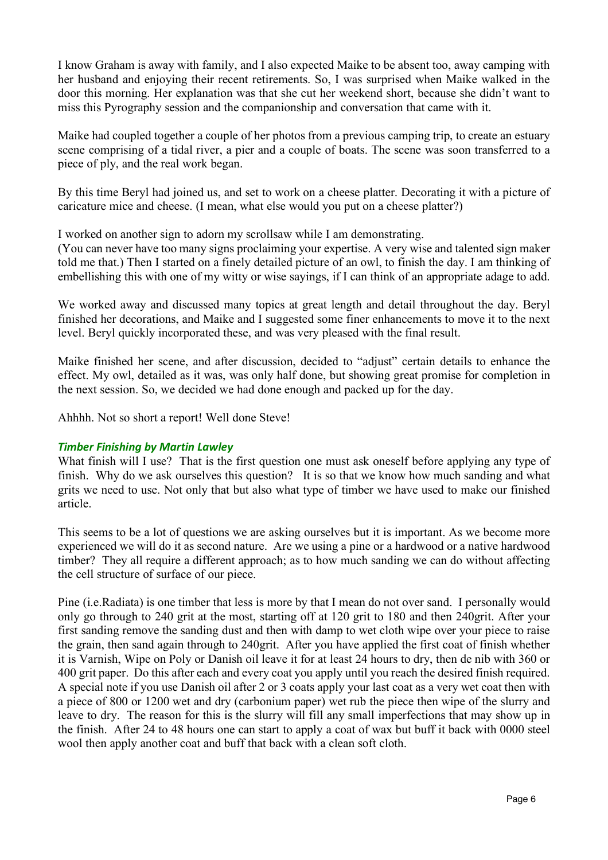I know Graham is away with family, and I also expected Maike to be absent too, away camping with her husband and enjoying their recent retirements. So, I was surprised when Maike walked in the door this morning. Her explanation was that she cut her weekend short, because she didn't want to miss this Pyrography session and the companionship and conversation that came with it.

Maike had coupled together a couple of her photos from a previous camping trip, to create an estuary scene comprising of a tidal river, a pier and a couple of boats. The scene was soon transferred to a piece of ply, and the real work began.

By this time Beryl had joined us, and set to work on a cheese platter. Decorating it with a picture of caricature mice and cheese. (I mean, what else would you put on a cheese platter?)

I worked on another sign to adorn my scrollsaw while I am demonstrating.

(You can never have too many signs proclaiming your expertise. A very wise and talented sign maker told me that.) Then I started on a finely detailed picture of an owl, to finish the day. I am thinking of embellishing this with one of my witty or wise sayings, if I can think of an appropriate adage to add.

We worked away and discussed many topics at great length and detail throughout the day. Beryl finished her decorations, and Maike and I suggested some finer enhancements to move it to the next level. Beryl quickly incorporated these, and was very pleased with the final result.

Maike finished her scene, and after discussion, decided to "adjust" certain details to enhance the effect. My owl, detailed as it was, was only half done, but showing great promise for completion in the next session. So, we decided we had done enough and packed up for the day.

Ahhhh. Not so short a report! Well done Steve!

# *Timber Finishing by Martin Lawley*

What finish will I use? That is the first question one must ask oneself before applying any type of finish. Why do we ask ourselves this question? It is so that we know how much sanding and what grits we need to use. Not only that but also what type of timber we have used to make our finished article.

This seems to be a lot of questions we are asking ourselves but it is important. As we become more experienced we will do it as second nature. Are we using a pine or a hardwood or a native hardwood timber? They all require a different approach; as to how much sanding we can do without affecting the cell structure of surface of our piece.

Pine (i.e.Radiata) is one timber that less is more by that I mean do not over sand. I personally would only go through to 240 grit at the most, starting off at 120 grit to 180 and then 240grit. After your first sanding remove the sanding dust and then with damp to wet cloth wipe over your piece to raise the grain, then sand again through to 240grit. After you have applied the first coat of finish whether it is Varnish, Wipe on Poly or Danish oil leave it for at least 24 hours to dry, then de nib with 360 or 400 grit paper. Do this after each and every coat you apply until you reach the desired finish required. A special note if you use Danish oil after 2 or 3 coats apply your last coat as a very wet coat then with a piece of 800 or 1200 wet and dry (carbonium paper) wet rub the piece then wipe of the slurry and leave to dry. The reason for this is the slurry will fill any small imperfections that may show up in the finish. After 24 to 48 hours one can start to apply a coat of wax but buff it back with 0000 steel wool then apply another coat and buff that back with a clean soft cloth.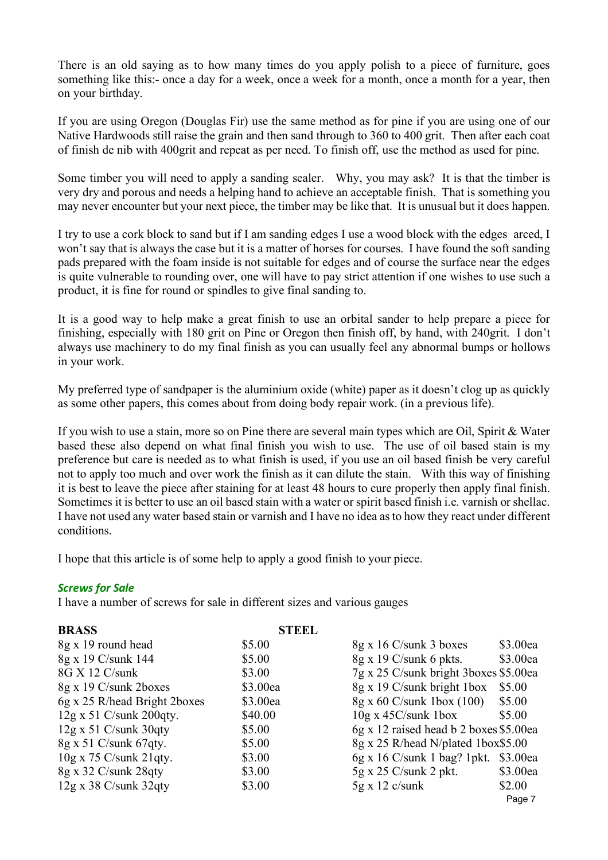There is an old saying as to how many times do you apply polish to a piece of furniture, goes something like this:- once a day for a week, once a week for a month, once a month for a year, then on your birthday.

If you are using Oregon (Douglas Fir) use the same method as for pine if you are using one of our Native Hardwoods still raise the grain and then sand through to 360 to 400 grit. Then after each coat of finish de nib with 400grit and repeat as per need. To finish off, use the method as used for pine.

Some timber you will need to apply a sanding sealer. Why, you may ask? It is that the timber is very dry and porous and needs a helping hand to achieve an acceptable finish. That is something you may never encounter but your next piece, the timber may be like that. It is unusual but it does happen.

I try to use a cork block to sand but if I am sanding edges I use a wood block with the edges arced, I won't say that is always the case but it is a matter of horses for courses. I have found the soft sanding pads prepared with the foam inside is not suitable for edges and of course the surface near the edges is quite vulnerable to rounding over, one will have to pay strict attention if one wishes to use such a product, it is fine for round or spindles to give final sanding to.

It is a good way to help make a great finish to use an orbital sander to help prepare a piece for finishing, especially with 180 grit on Pine or Oregon then finish off, by hand, with 240grit. I don't always use machinery to do my final finish as you can usually feel any abnormal bumps or hollows in your work.

My preferred type of sandpaper is the aluminium oxide (white) paper as it doesn't clog up as quickly as some other papers, this comes about from doing body repair work. (in a previous life).

If you wish to use a stain, more so on Pine there are several main types which are Oil, Spirit & Water based these also depend on what final finish you wish to use. The use of oil based stain is my preference but care is needed as to what finish is used, if you use an oil based finish be very careful not to apply too much and over work the finish as it can dilute the stain. With this way of finishing it is best to leave the piece after staining for at least 48 hours to cure properly then apply final finish. Sometimes it is better to use an oil based stain with a water or spirit based finish i.e. varnish or shellac. I have not used any water based stain or varnish and I have no idea as to how they react under different conditions.

I hope that this article is of some help to apply a good finish to your piece.

## *Screws for Sale*

I have a number of screws for sale in different sizes and various gauges

| <b>BRASS</b>                   | <b>STEEL</b> |                                        |          |
|--------------------------------|--------------|----------------------------------------|----------|
| 8g x 19 round head             | \$5.00       | 8g x 16 C/sunk 3 boxes                 | \$3.00ea |
| 8g x 19 C/sunk 144             | \$5.00       | $8g \times 19$ C/sunk 6 pkts.          | \$3.00ea |
| 8G X 12 C/sunk                 | \$3.00       | 7g x 25 C/sunk bright 3boxes \$5.00ea  |          |
| 8g x 19 C/sunk 2boxes          | \$3.00ea     | 8g x 19 C/sunk bright 1box             | \$5.00   |
| 6g x 25 R/head Bright 2boxes   | \$3.00ea     | $8g \times 60$ C/sunk 1box (100)       | \$5.00   |
| $12g \times 51$ C/sunk 200qty. | \$40.00      | $10g \times 45C$ /sunk $1box$          | \$5.00   |
| $12g \times 51$ C/sunk 30qty   | \$5.00       | 6g x 12 raised head b 2 boxes \$5.00ea |          |
| 8g x 51 C/sunk 67qty.          | \$5.00       | 8g x 25 R/head N/plated 1box\$5.00     |          |
| $10g \times 75$ C/sunk 21qty.  | \$3.00       | $6g \times 16$ C/sunk 1 bag? 1pkt.     | \$3.00ea |
| $8g \times 32$ C/sunk 28qty    | \$3.00       | $5g \times 25$ C/sunk 2 pkt.           | \$3.00ea |
| $12g \times 38$ C/sunk 32qty   | \$3.00       | $5g \times 12$ c/sunk                  | \$2.00   |
|                                |              |                                        | Page 7   |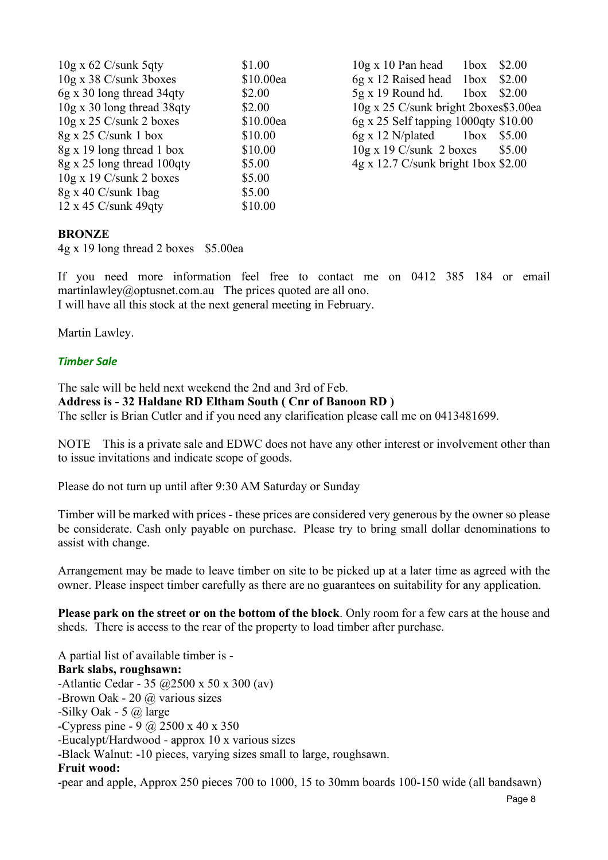$10g \times 62$  C/sunk 5qty  $$1.00$   $10g \times 10$  Pan head  $1b \times $2.00$  $10g \times 38$  C/sunk 3boxes  $10.00ea$  6g x 12 Raised head 1box \$2.00  $6g \times 30$  long thread  $34qty$  \$2.00 5g x 19 Round hd. 1box \$2.00  $10g \times 30$  long thread 38qty  $$2.00$   $10g \times 25$  C/sunk bright 2boxes\$3.00ea 10g x 25 C/sunk 2 boxes \$10.00ea 6g x 25 Self tapping 1000qty \$10.00 8g x 25 C/sunk 1 box \$10.00 6g x 12 N/plated 1 box \$5.00 8g x 19 long thread 1 box \$10.00 10g x 19 C/sunk 2 boxes \$5.00  $8g \times 25$  long thread 100qty  $$5.00$   $4g \times 12.7$  C/sunk bright 1box \$2.00 10g x 19 C/sunk 2 boxes \$5.00  $8g \times 40$  C/sunk 1bag  $$5.00$ 12 x 45 C/sunk 49qty \$10.00

## **BRONZE**

4g x 19 long thread 2 boxes \$5.00ea

If you need more information feel free to contact me on 0412 385 184 or email martinlawley@optusnet.com.au The prices quoted are all ono. I will have all this stock at the next general meeting in February.

Martin Lawley.

### *Timber Sale*

The sale will be held next weekend the 2nd and 3rd of Feb. **Address is - 32 Haldane RD Eltham South ( Cnr of Banoon RD )** The seller is Brian Cutler and if you need any clarification please call me on 0413481699.

NOTE This is a private sale and EDWC does not have any other interest or involvement other than to issue invitations and indicate scope of goods.

Please do not turn up until after 9:30 AM Saturday or Sunday

Timber will be marked with prices - these prices are considered very generous by the owner so please be considerate. Cash only payable on purchase. Please try to bring small dollar denominations to assist with change.

Arrangement may be made to leave timber on site to be picked up at a later time as agreed with the owner. Please inspect timber carefully as there are no guarantees on suitability for any application.

**Please park on the street or on the bottom of the block**. Only room for a few cars at the house and sheds. There is access to the rear of the property to load timber after purchase.

A partial list of available timber is - **Bark slabs, roughsawn:** -Atlantic Cedar - 35 @2500 x 50 x 300 (av) -Brown Oak - 20 @ various sizes -Silky Oak - 5 @ large -Cypress pine - 9 @ 2500 x 40 x 350 -Eucalypt/Hardwood - approx 10 x various sizes -Black Walnut: -10 pieces, varying sizes small to large, roughsawn. **Fruit wood:** -pear and apple, Approx 250 pieces 700 to 1000, 15 to 30mm boards 100-150 wide (all bandsawn)